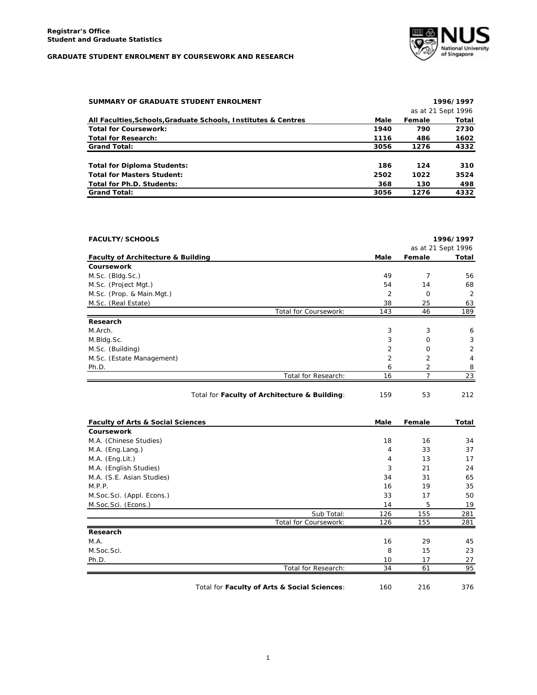

| SUMMARY OF GRADUATE STUDENT ENROLMENT                          |      |        | 1996/1997          |
|----------------------------------------------------------------|------|--------|--------------------|
|                                                                |      |        | as at 21 Sept 1996 |
| All Faculties, Schools, Graduate Schools, Institutes & Centres | Male | Female | Total              |
| <b>Total for Coursework:</b>                                   | 1940 | 790    | 2730               |
| <b>Total for Research:</b>                                     | 1116 | 486    | 1602               |
| <b>Grand Total:</b>                                            | 3056 | 1276   | 4332               |
|                                                                |      |        |                    |
| <b>Total for Diploma Students:</b>                             | 186  | 124    | 310                |
| <b>Total for Masters Student:</b>                              | 2502 | 1022   | 3524               |
| Total for Ph.D. Students:                                      | 368  | 130    | 498                |
| <b>Grand Total:</b>                                            | 3056 | 1276   | 4332               |

| <b>FACULTY/SCHOOLS</b>                        |                       |                |                    | 1996/1997 |
|-----------------------------------------------|-----------------------|----------------|--------------------|-----------|
|                                               |                       |                | as at 21 Sept 1996 |           |
| <b>Faculty of Architecture &amp; Building</b> |                       | Male           | Female             | Total     |
| Coursework                                    |                       |                |                    |           |
| M.Sc. (Bldg.Sc.)                              |                       | 49             | 7                  | 56        |
| M.Sc. (Project Mgt.)                          |                       | 54             | 14                 | 68        |
| M.Sc. (Prop. & Main.Mgt.)                     |                       | 2              | $\Omega$           | 2         |
| M.Sc. (Real Estate)                           |                       | 38             | 25                 | 63        |
|                                               | Total for Coursework: | 143            | 46                 | 189       |
| Research                                      |                       |                |                    |           |
| M.Arch.                                       |                       | 3              | 3                  | 6         |
| M.Bldg.Sc.                                    |                       | 3              | $\Omega$           | 3         |
| M.Sc. (Building)                              |                       | $\overline{2}$ | $\Omega$           | 2         |
| M.Sc. (Estate Management)                     |                       | $\overline{2}$ | $\overline{2}$     | 4         |
| Ph.D.                                         |                       | 6              |                    | 8         |
|                                               | Total for Research:   | 16             | 7                  | 23        |

| Total for Faculty of Architecture & Building: | 159 | 212 |
|-----------------------------------------------|-----|-----|
|                                               |     |     |

| <b>Faculty of Arts &amp; Social Sciences</b> |                       | Male | Female | Total |
|----------------------------------------------|-----------------------|------|--------|-------|
| Coursework                                   |                       |      |        |       |
| M.A. (Chinese Studies)                       |                       | 18   | 16     | 34    |
| M.A. (Eng.Lang.)                             |                       | 4    | 33     | 37    |
| $M.A.$ (Eng. Lit.)                           |                       | 4    | 13     | 17    |
| M.A. (English Studies)                       |                       | 3    | 21     | 24    |
| M.A. (S.E. Asian Studies)                    |                       | 34   | 31     | 65    |
| M.P.P.                                       |                       | 16   | 19     | 35    |
| M. Soc. Sci. (Appl. Econs.)                  |                       | 33   | 17     | 50    |
| M.Soc.Sci. (Econs.)                          |                       | 14   | 5      | 19    |
|                                              | Sub Total:            | 126  | 155    | 281   |
|                                              | Total for Coursework: | 126  | 155    | 281   |
| Research                                     |                       |      |        |       |
| M.A.                                         |                       | 16   | 29     | 45    |
| M.Soc.Sci.                                   |                       | 8    | 15     | 23    |
| Ph.D.                                        |                       | 10   | 17     | 27    |
|                                              | Total for Research:   | 34   | 61     | 95    |
|                                              |                       |      |        |       |

Total for **Faculty of Arts & Social Sciences**: 160 216 376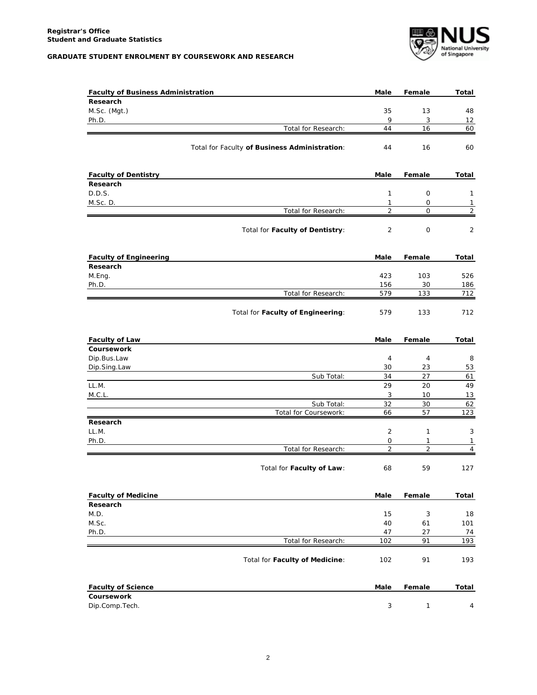

| <b>Faculty of Business Administration</b> |                                               | Male                | Female              | <b>Total</b>        |
|-------------------------------------------|-----------------------------------------------|---------------------|---------------------|---------------------|
| Research                                  |                                               |                     |                     |                     |
| M.Sc. (Mgt.)                              |                                               | 35                  | 13                  | 48                  |
| Ph.D.                                     |                                               | 9                   | 3                   | 12                  |
|                                           | Total for Research:                           | 44                  | 16                  | 60                  |
|                                           | Total for Faculty of Business Administration: | 44                  | 16                  | 60                  |
|                                           |                                               |                     |                     |                     |
| <b>Faculty of Dentistry</b>               |                                               | Male                | Female              | Total               |
| Research                                  |                                               |                     |                     |                     |
| D.D.S.                                    |                                               | 1                   | 0                   | $\mathbf{1}$        |
| M.Sc. D.                                  |                                               | 1                   | 0                   | $\mathbf{1}$        |
|                                           | Total for Research:                           | $\overline{2}$      | $\mathsf{O}$        | $\overline{2}$      |
|                                           | Total for Faculty of Dentistry:               | $\overline{2}$      | 0                   | 2                   |
| <b>Faculty of Engineering</b>             |                                               | Male                | Female              | Total               |
| Research                                  |                                               |                     |                     |                     |
| M.Eng.                                    |                                               | 423                 | 103                 | 526                 |
| Ph.D.                                     |                                               | 156                 | 30                  | 186                 |
|                                           | Total for Research:                           | 579                 | 133                 | 712                 |
|                                           | Total for Faculty of Engineering:             | 579                 | 133                 | 712                 |
| <b>Faculty of Law</b>                     |                                               | Male                | Female              | Total               |
| Coursework                                |                                               |                     |                     |                     |
| Dip.Bus.Law                               |                                               | 4                   | 4                   | 8                   |
| Dip.Sing.Law                              |                                               | 30                  | 23                  | 53                  |
|                                           | Sub Total:                                    | 34                  | 27                  | 61                  |
| LL.M.                                     |                                               | 29                  | 20                  | 49                  |
| M.C.L.                                    |                                               | 3                   | 10                  | 13                  |
|                                           | Sub Total:                                    | 32                  | 30                  | 62                  |
|                                           | Total for Coursework:                         | 66                  | 57                  | 123                 |
| Research<br>LL.M.                         |                                               | 2                   | 1                   | 3                   |
|                                           |                                               |                     |                     |                     |
| Ph.D.                                     | Total for Research:                           | 0<br>$\overline{2}$ | 1<br>$\overline{2}$ | 1<br>$\overline{4}$ |
|                                           |                                               |                     |                     |                     |
|                                           | Total for Faculty of Law:                     | 68                  | 59                  | 127                 |
| <b>Faculty of Medicine</b>                |                                               | Male                | Female              | Total               |
| Research                                  |                                               |                     |                     |                     |
| M.D.                                      |                                               | 15                  | 3                   | 18                  |
| M.Sc.                                     |                                               | 40                  | 61                  | 101                 |
| Ph.D.                                     |                                               | 47                  | 27                  | 74                  |
|                                           | Total for Research:                           | 102                 | 91                  | 193                 |
|                                           | Total for Faculty of Medicine:                | 102                 | 91                  | 193                 |
| <b>Faculty of Science</b>                 |                                               | Male                | Female              | Total               |
| Coursework                                |                                               |                     |                     |                     |
| Dip.Comp.Tech.                            |                                               | 3                   | $\mathbf{1}$        | 4                   |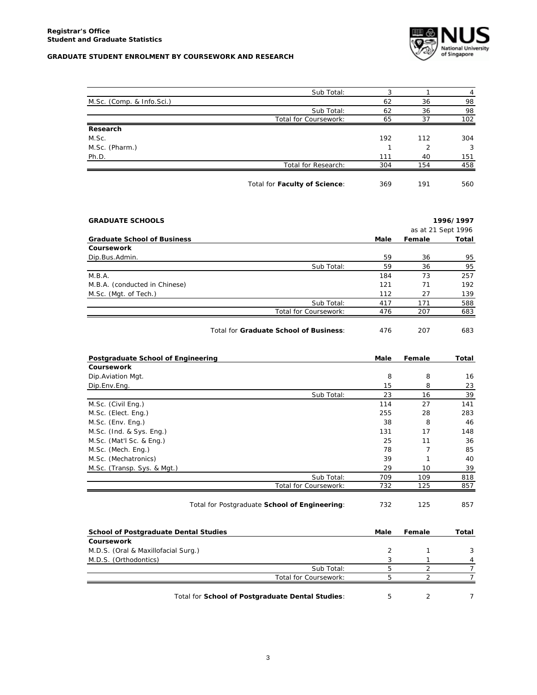

|                           | Sub Total:                    | 3   |     | 4   |
|---------------------------|-------------------------------|-----|-----|-----|
| M.Sc. (Comp. & Info.Sci.) |                               | 62  | 36  | 98  |
|                           | Sub Total:                    | 62  | 36  | 98  |
|                           | Total for Coursework:         | 65  | 37  | 102 |
| Research                  |                               |     |     |     |
| M.Sc.                     |                               | 192 | 112 | 304 |
| M.Sc. (Pharm.)            |                               |     | っ   | 3   |
| Ph.D.                     |                               | 111 | 40  | 151 |
|                           | Total for Research:           | 304 | 154 | 458 |
|                           | Total for Faculty of Science: | 369 | 191 | 560 |

| <b>GRADUATE SCHOOLS</b>            |                       |      |        | 1996/1997          |
|------------------------------------|-----------------------|------|--------|--------------------|
|                                    |                       |      |        | as at 21 Sept 1996 |
| <b>Graduate School of Business</b> |                       | Male | Female | Total              |
| Coursework                         |                       |      |        |                    |
| Dip.Bus.Admin.                     |                       | 59   | 36     | 95                 |
|                                    | Sub Total:            | 59   | 36     | 95                 |
| M.B.A.                             |                       | 184  | 73     | 257                |
| M.B.A. (conducted in Chinese)      |                       | 121  | 71     | 192                |
| M.Sc. (Mgt. of Tech.)              |                       | 112  | 27     | 139                |
|                                    | Sub Total:            | 417  | 171    | 588                |
|                                    | Total for Coursework: | 476  | 207    | 683                |
|                                    |                       |      |        |                    |

Total for **Graduate School of Business**: 476 207 683

| Postgraduate School of Engineering           |                                               | Male | Female | Total |
|----------------------------------------------|-----------------------------------------------|------|--------|-------|
| Coursework                                   |                                               |      |        |       |
| Dip. Aviation Mgt.                           |                                               | 8    | 8      | 16    |
| Dip.Env.Eng.                                 |                                               | 15   | 8      | 23    |
|                                              | Sub Total:                                    | 23   | 16     | 39    |
| M.Sc. (Civil Eng.)                           |                                               | 114  | 27     | 141   |
| M.Sc. (Elect. Eng.)                          |                                               | 255  | 28     | 283   |
| M.Sc. (Env. Eng.)                            |                                               | 38   | 8      | 46    |
| M.Sc. (Ind. & Sys. Eng.)                     |                                               | 131  | 17     | 148   |
| M.Sc. (Mat'l Sc. & Eng.)                     |                                               | 25   | 11     | 36    |
| M.Sc. (Mech. Eng.)                           |                                               | 78   | 7      | 85    |
| M.Sc. (Mechatronics)                         |                                               | 39   |        | 40    |
| M.Sc. (Transp. Sys. & Mgt.)                  |                                               | 29   | 10     | 39    |
|                                              | Sub Total:                                    | 709  | 109    | 818   |
|                                              | Total for Coursework:                         | 732  | 125    | 857   |
|                                              |                                               |      |        |       |
|                                              | Total for Postgraduate School of Engineering: | 732  | 125    | 857   |
|                                              |                                               |      |        |       |
| <b>School of Postgraduate Dental Studies</b> |                                               | Male | Female | Total |

| Coursework                          |                       |  |   |
|-------------------------------------|-----------------------|--|---|
| M.D.S. (Oral & Maxillofacial Surg.) |                       |  |   |
| M.D.S. (Orthodontics)               |                       |  | 4 |
|                                     | Sub Total:            |  |   |
|                                     | Total for Coursework: |  |   |
|                                     |                       |  |   |

Total for **School of Postgraduate Dental Studies**: 5 2 7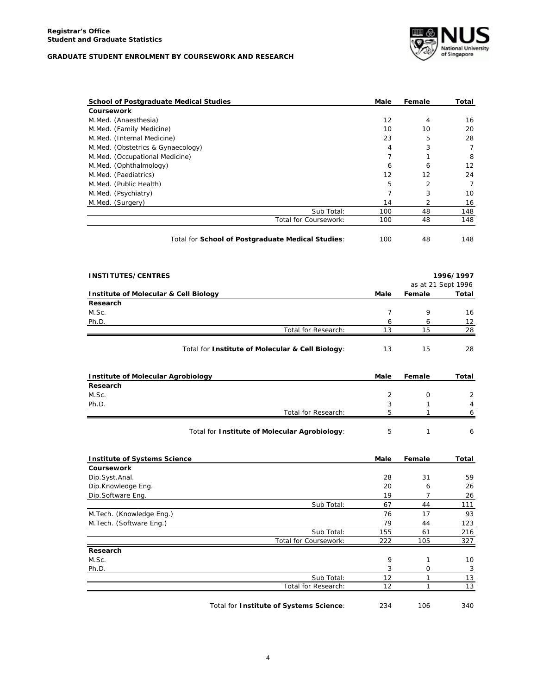

| <b>School of Postgraduate Medical Studies</b>     | Male | Female | Total |
|---------------------------------------------------|------|--------|-------|
| Coursework                                        |      |        |       |
| M.Med. (Anaesthesia)                              | 12   | 4      | 16    |
| M.Med. (Family Medicine)                          | 10   | 10     | 20    |
| M.Med. (Internal Medicine)                        | 23   | 5      | 28    |
| M.Med. (Obstetrics & Gynaecology)                 | 4    | 3      | 7     |
| M.Med. (Occupational Medicine)                    | 7    |        | 8     |
| M.Med. (Ophthalmology)                            | 6    | 6      | 12    |
| M.Med. (Paediatrics)                              | 12   | 12     | 24    |
| M.Med. (Public Health)                            | 5    | 2      | 7     |
| M.Med. (Psychiatry)                               | 7    | 3      | 10    |
| M.Med. (Surgery)                                  | 14   | 2      | 16    |
| Sub Total:                                        | 100  | 48     | 148   |
| Total for Coursework:                             | 100  | 48     | 148   |
|                                                   |      |        |       |
| Total for School of Postgraduate Medical Studies: | 100  | 48     | 148   |

| <b>INSTITUTES/CENTRES</b>                        |      |        | 1996/1997          |
|--------------------------------------------------|------|--------|--------------------|
|                                                  |      |        | as at 21 Sept 1996 |
| Institute of Molecular & Cell Biology            | Male | Female | Total              |
| Research                                         |      |        |                    |
| M.Sc.                                            | 7    | 9      | 16                 |
| Ph.D.                                            | 6    | 6      | 12                 |
| Total for Research:                              | 13   | 15     | 28                 |
| Total for Institute of Molecular & Cell Biology: | 13   | 15     | 28                 |
|                                                  |      |        |                    |
| Institute of Molecular Agrobiology               | Male | Female | Total              |
| Research                                         |      |        |                    |
| M.Sc.                                            | 2    | 0      | 2                  |
| Ph.D.                                            | 3    |        | 4                  |
| Total for Research:                              | 5    |        | 6                  |

| <b>Institute of Systems Science</b> |                       | Male | Female | Total |
|-------------------------------------|-----------------------|------|--------|-------|
| Coursework                          |                       |      |        |       |
| Dip.Syst.Anal.                      |                       | 28   | 31     | 59    |
| Dip.Knowledge Eng.                  |                       | 20   | 6      | 26    |
| Dip.Software Eng.                   |                       | 19   |        | 26    |
|                                     | Sub Total:            | 67   | 44     | 111   |
| M. Tech. (Knowledge Eng.)           |                       | 76   | 17     | 93    |
| M.Tech. (Software Eng.)             |                       | 79   | 44     | 123   |
|                                     | Sub Total:            | 155  | 61     | 216   |
|                                     | Total for Coursework: | 222  | 105    | 327   |
| Research                            |                       |      |        |       |
| M.Sc.                               |                       | 9    |        | 10    |
| Ph.D.                               |                       | 3    | 0      | 3     |
|                                     | Sub Total:            | 12   |        | 13    |
|                                     | Total for Research:   | 12   |        | 13    |
|                                     |                       |      |        |       |

Total for **Institute of Systems Science**: 234 106 340